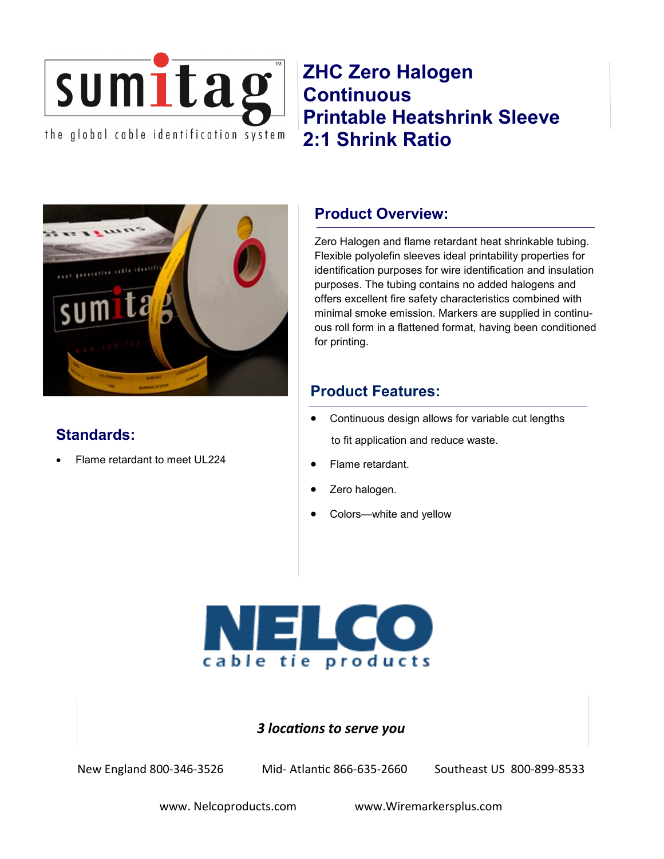

**ZHC Zero Halogen Continuous Printable Heatshrink Sleeve 2:1 Shrink Ratio**



# **Standards:**

Flame retardant to meet UL224

## **Product Overview:**

Zero Halogen and flame retardant heat shrinkable tubing. Flexible polyolefin sleeves ideal printability properties for identification purposes for wire identification and insulation purposes. The tubing contains no added halogens and offers excellent fire safety characteristics combined with minimal smoke emission. Markers are supplied in continuous roll form in a flattened format, having been conditioned for printing.

## **Product Features:**

- Continuous design allows for variable cut lengths to fit application and reduce waste.
- Flame retardant.
- Zero halogen.
- Colors—white and yellow



## *3 locations to serve you*

New England 800-346-3526 Mid- Atlantic 866-635-2660 Southeast US 800-899-8533